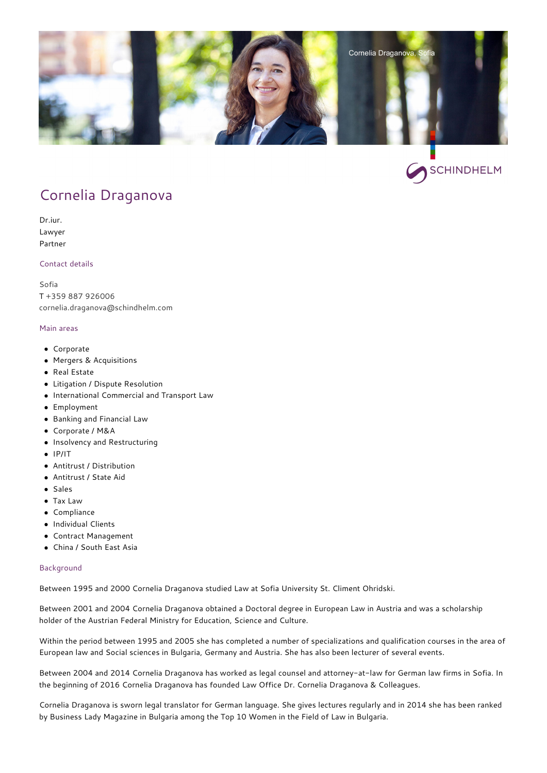



# [Cornelia Draganova](https://bg.schindhelm.com/en/team/p/cornelia-draganova-lawyer-sofia)

Dr.iur. Lawyer Partner

### Contact details

[Sofia](https://bg.schindhelm.com/en/contact/locations/lawyer-sofia) T [+359 887 926006](#page--1-0) [cornelia.draganova@schindhelm.com](mailto:cornelia.draganova@schindhelm.com)

## Main areas

- Corporate
- Mergers & Acquisitions
- Real Estate
- Litigation / Dispute Resolution
- International Commercial and Transport Law
- Employment
- Banking and Financial Law
- Corporate / M&A
- Insolvency and Restructuring
- $\bullet$  IP/IT
- Antitrust / Distribution
- Antitrust / State Aid
- Sales
- Tax Law
- Compliance
- Individual Clients
- Contract Management
- China / South East Asia

### Background

Between 1995 and 2000 Cornelia Draganova studied Law at Sofia University St. Climent Ohridski.

Between 2001 and 2004 Cornelia Draganova obtained a Doctoral degree in European Law in Austria and was a scholarship holder of the Austrian Federal Ministry for Education, Science and Culture.

Within the period between 1995 and 2005 she has completed a number of specializations and qualification courses in the area of European law and Social sciences in Bulgaria, Germany and Austria. She has also been lecturer of several events.

Between 2004 and 2014 Cornelia Draganova has worked as legal counsel and attorney-at-law for German law firms in Sofia. In the beginning of 2016 Cornelia Draganova has founded Law Office Dr. Cornelia Draganova & Colleagues.

Cornelia Draganova is sworn legal translator for German language. She gives lectures regularly and in 2014 she has been ranked by Business Lady Magazine in Bulgaria among the Top 10 Women in the Field of Law in Bulgaria.